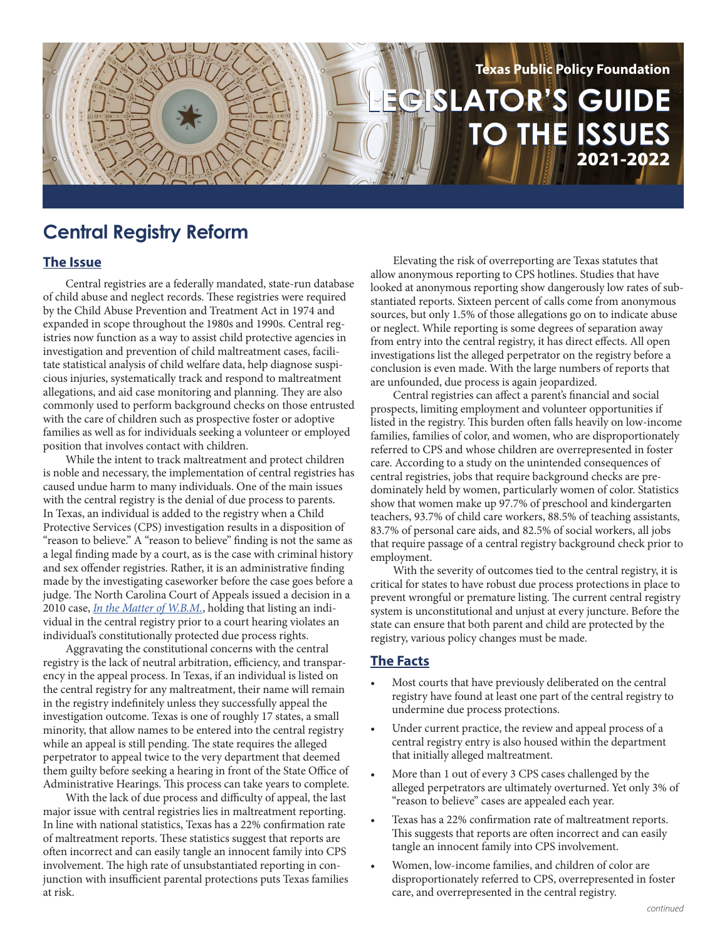

# **Central Registry Reform**

## **The Issue**

Central registries are a federally mandated, state-run database of child abuse and neglect records. These registries were required by the Child Abuse Prevention and Treatment Act in 1974 and expanded in scope throughout the 1980s and 1990s. Central registries now function as a way to assist child protective agencies in investigation and prevention of child maltreatment cases, facilitate statistical analysis of child welfare data, help diagnose suspicious injuries, systematically track and respond to maltreatment allegations, and aid case monitoring and planning. They are also commonly used to perform background checks on those entrusted with the care of children such as prospective foster or adoptive families as well as for individuals seeking a volunteer or employed position that involves contact with children.

While the intent to track maltreatment and protect children is noble and necessary, the implementation of central registries has caused undue harm to many individuals. One of the main issues with the central registry is the denial of due process to parents. In Texas, an individual is added to the registry when a Child Protective Services (CPS) investigation results in a disposition of "reason to believe." A "reason to believe" finding is not the same as a legal finding made by a court, as is the case with criminal history and sex offender registries. Rather, it is an administrative finding made by the investigating caseworker before the case goes before a judge. The North Carolina Court of Appeals issued a decision in a 2010 case, *[In the Matter of W.B.M.](https://www.nccourts.gov/documents/appellate-court-opinions/in-re-wbm)*, holding that listing an individual in the central registry prior to a court hearing violates an individual's constitutionally protected due process rights.

Aggravating the constitutional concerns with the central registry is the lack of neutral arbitration, efficiency, and transparency in the appeal process. In Texas, if an individual is listed on the central registry for any maltreatment, their name will remain in the registry indefinitely unless they successfully appeal the investigation outcome. Texas is one of roughly 17 states, a small minority, that allow names to be entered into the central registry while an appeal is still pending. The state requires the alleged perpetrator to appeal twice to the very department that deemed them guilty before seeking a hearing in front of the State Office of Administrative Hearings. This process can take years to complete.

With the lack of due process and difficulty of appeal, the last major issue with central registries lies in maltreatment reporting. In line with national statistics, Texas has a 22% confirmation rate of maltreatment reports. These statistics suggest that reports are often incorrect and can easily tangle an innocent family into CPS involvement. The high rate of unsubstantiated reporting in conjunction with insufficient parental protections puts Texas families at risk.

Elevating the risk of overreporting are Texas statutes that allow anonymous reporting to CPS hotlines. Studies that have looked at anonymous reporting show dangerously low rates of substantiated reports. Sixteen percent of calls come from anonymous sources, but only 1.5% of those allegations go on to indicate abuse or neglect. While reporting is some degrees of separation away from entry into the central registry, it has direct effects. All open investigations list the alleged perpetrator on the registry before a conclusion is even made. With the large numbers of reports that are unfounded, due process is again jeopardized.

Central registries can affect a parent's financial and social prospects, limiting employment and volunteer opportunities if listed in the registry. This burden often falls heavily on low-income families, families of color, and women, who are disproportionately referred to CPS and whose children are overrepresented in foster care. According to a study on the unintended consequences of central registries, jobs that require background checks are predominately held by women, particularly women of color. Statistics show that women make up 97.7% of preschool and kindergarten teachers, 93.7% of child care workers, 88.5% of teaching assistants, 83.7% of personal care aids, and 82.5% of social workers, all jobs that require passage of a central registry background check prior to employment.

With the severity of outcomes tied to the central registry, it is critical for states to have robust due process protections in place to prevent wrongful or premature listing. The current central registry system is unconstitutional and unjust at every juncture. Before the state can ensure that both parent and child are protected by the registry, various policy changes must be made.

## **The Facts**

- Most courts that have previously deliberated on the central registry have found at least one part of the central registry to undermine due process protections.
- Under current practice, the review and appeal process of a central registry entry is also housed within the department that initially alleged maltreatment.
- More than 1 out of every 3 CPS cases challenged by the alleged perpetrators are ultimately overturned. Yet only 3% of "reason to believe" cases are appealed each year.
- Texas has a 22% confirmation rate of maltreatment reports. This suggests that reports are often incorrect and can easily tangle an innocent family into CPS involvement.
- Women, low-income families, and children of color are disproportionately referred to CPS, overrepresented in foster care, and overrepresented in the central registry.